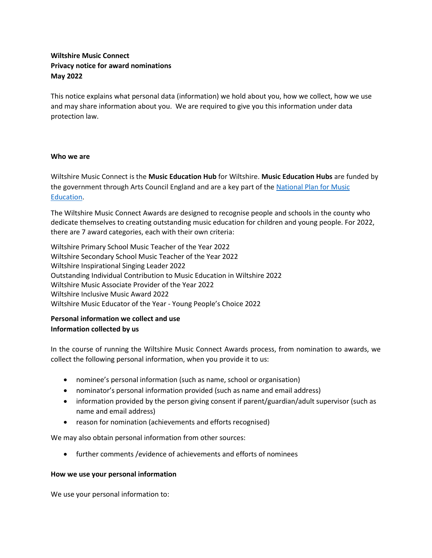# **Wiltshire Music Connect Privacy notice for award nominations May 2022**

This notice explains what personal data (information) we hold about you, how we collect, how we use and may share information about you. We are required to give you this information under data protection law.

## **Who we are**

Wiltshire Music Connect is the **Music Education Hub** for Wiltshire. **Music Education Hubs** are funded by the government through Arts Council England and are a key part of the [National Plan for Music](https://wmconnect.wpengine.com/wp-content/uploads/2014/10/NPME.pdf)  [Education.](https://wmconnect.wpengine.com/wp-content/uploads/2014/10/NPME.pdf)

The Wiltshire Music Connect Awards are designed to recognise people and schools in the county who dedicate themselves to creating outstanding music education for children and young people. For 2022, there are 7 award categories, each with their own criteria:

Wiltshire Primary School Music Teacher of the Year 2022 Wiltshire Secondary School Music Teacher of the Year 2022 Wiltshire Inspirational Singing Leader 2022 Outstanding Individual Contribution to Music Education in Wiltshire 2022 Wiltshire Music Associate Provider of the Year 2022 Wiltshire Inclusive Music Award 2022 Wiltshire Music Educator of the Year - Young People's Choice 2022

# **Personal information we collect and use Information collected by us**

In the course of running the Wiltshire Music Connect Awards process, from nomination to awards, we collect the following personal information, when you provide it to us:

- nominee's personal information (such as name, school or organisation)
- nominator's personal information provided (such as name and email address)
- information provided by the person giving consent if parent/guardian/adult supervisor (such as name and email address)
- reason for nomination (achievements and efforts recognised)

We may also obtain personal information from other sources:

• further comments /evidence of achievements and efforts of nominees

## **How we use your personal information**

We use your personal information to: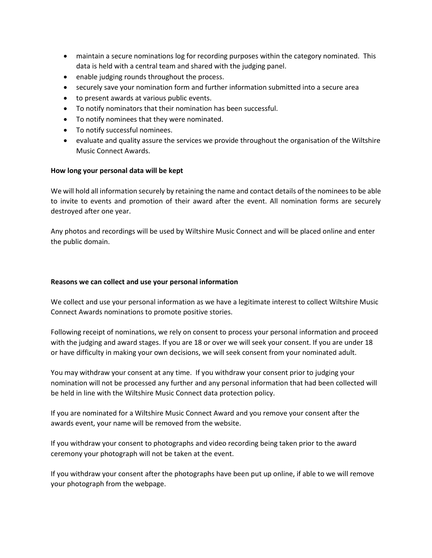- maintain a secure nominations log for recording purposes within the category nominated. This data is held with a central team and shared with the judging panel.
- enable judging rounds throughout the process.
- securely save your nomination form and further information submitted into a secure area
- to present awards at various public events.
- To notify nominators that their nomination has been successful.
- To notify nominees that they were nominated.
- To notify successful nominees.
- evaluate and quality assure the services we provide throughout the organisation of the Wiltshire Music Connect Awards.

# **How long your personal data will be kept**

We will hold all information securely by retaining the name and contact details of the nominees to be able to invite to events and promotion of their award after the event. All nomination forms are securely destroyed after one year.

Any photos and recordings will be used by Wiltshire Music Connect and will be placed online and enter the public domain.

# **Reasons we can collect and use your personal information**

We collect and use your personal information as we have a legitimate interest to collect Wiltshire Music Connect Awards nominations to promote positive stories.

Following receipt of nominations, we rely on consent to process your personal information and proceed with the judging and award stages. If you are 18 or over we will seek your consent. If you are under 18 or have difficulty in making your own decisions, we will seek consent from your nominated adult.

You may withdraw your consent at any time. If you withdraw your consent prior to judging your nomination will not be processed any further and any personal information that had been collected will be held in line with the Wiltshire Music Connect data protection policy.

If you are nominated for a Wiltshire Music Connect Award and you remove your consent after the awards event, your name will be removed from the website.

If you withdraw your consent to photographs and video recording being taken prior to the award ceremony your photograph will not be taken at the event.

If you withdraw your consent after the photographs have been put up online, if able to we will remove your photograph from the webpage.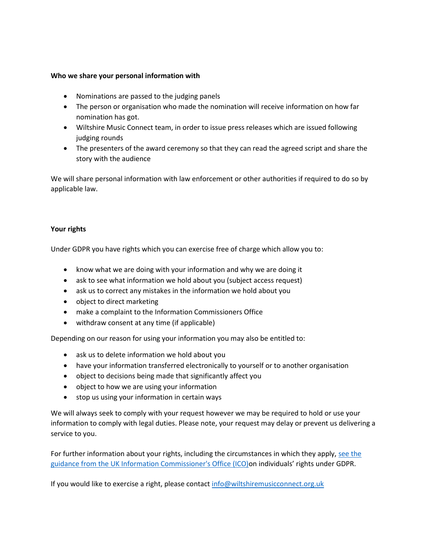### **Who we share your personal information with**

- Nominations are passed to the judging panels
- The person or organisation who made the nomination will receive information on how far nomination has got.
- Wiltshire Music Connect team, in order to issue press releases which are issued following judging rounds
- The presenters of the award ceremony so that they can read the agreed script and share the story with the audience

We will share personal information with law enforcement or other authorities if required to do so by applicable law.

## **Your rights**

Under GDPR you have rights which you can exercise free of charge which allow you to:

- know what we are doing with your information and why we are doing it
- ask to see what information we hold about you (subject access request)
- ask us to correct any mistakes in the information we hold about you
- object to direct marketing
- make a complaint to the Information Commissioners Office
- withdraw consent at any time (if applicable)

Depending on our reason for using your information you may also be entitled to:

- ask us to delete information we hold about you
- have your information transferred electronically to yourself or to another organisation
- object to decisions being made that significantly affect you
- object to how we are using your information
- stop us using your information in certain ways

We will always seek to comply with your request however we may be required to hold or use your information to comply with legal duties. Please note, your request may delay or prevent us delivering a service to you.

For further information about your rights, including the circumstances in which they apply, [see the](https://ico.org.uk/)  [guidance from the UK Information Commissioner's Office \(ICO\)](https://ico.org.uk/)on individuals' rights under GDPR.

If you would like to exercise a right, please contact [info@wiltshiremusicconnect.org.uk](mailto:info@wiltshiremusicconnect.org.uk)